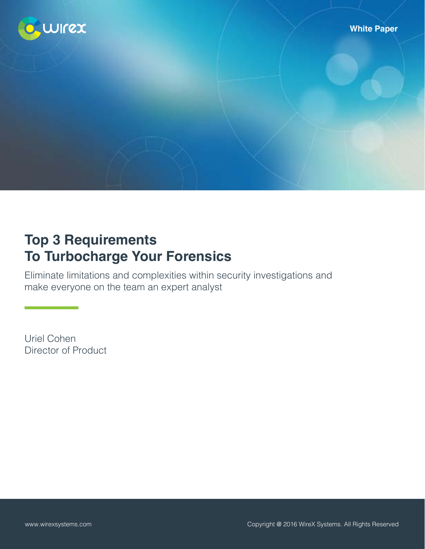

### **Top 3 Requirements To Turbocharge Your Forensics**

Eliminate limitations and complexities within security investigations and make everyone on the team an expert analyst

Uriel Cohen Director of Product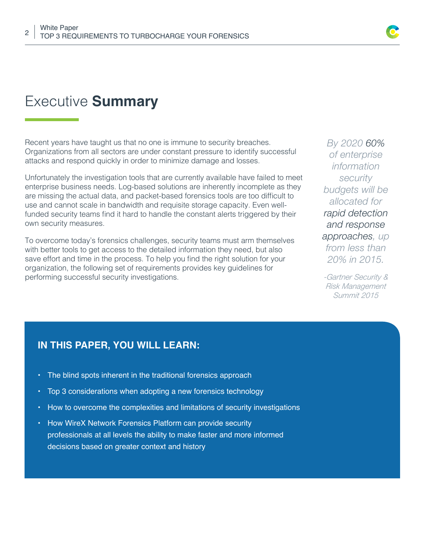### Executive **Summary**

Recent years have taught us that no one is immune to security breaches. Organizations from all sectors are under constant pressure to identify successful attacks and respond quickly in order to minimize damage and losses.

Unfortunately the investigation tools that are currently available have failed to meet enterprise business needs. Log-based solutions are inherently incomplete as they are missing the actual data, and packet-based forensics tools are too difficult to use and cannot scale in bandwidth and requisite storage capacity. Even wellfunded security teams find it hard to handle the constant alerts triggered by their own security measures.

To overcome today's forensics challenges, security teams must arm themselves with better tools to get access to the detailed information they need, but also save effort and time in the process. To help you find the right solution for your organization, the following set of requirements provides key guidelines for performing successful security investigations.

*By 2020 60% of enterprise information security budgets will be allocated for rapid detection and response approaches, up from less than 20% in 2015.*

*-Gartner Security & Risk Management Summit 2015*

### **IN THIS PAPER, YOU WILL LEARN:**

- The blind spots inherent in the traditional forensics approach
- Top 3 considerations when adopting a new forensics technology
- How to overcome the complexities and limitations of security investigations
- How WireX Network Forensics Platform can provide security professionals at all levels the ability to make faster and more informed decisions based on greater context and history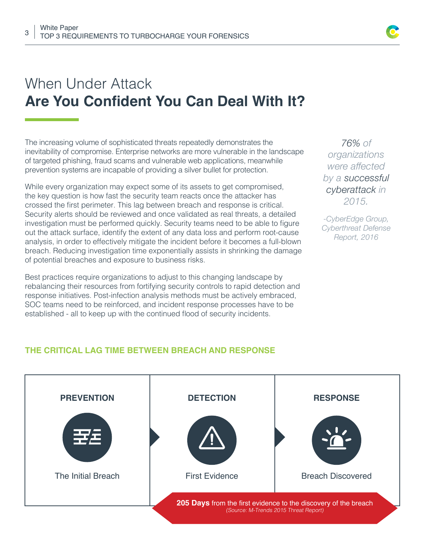# When Under Attack **Are You Confident You Can Deal With It?**

The increasing volume of sophisticated threats repeatedly demonstrates the inevitability of compromise. Enterprise networks are more vulnerable in the landscape of targeted phishing, fraud scams and vulnerable web applications, meanwhile prevention systems are incapable of providing a silver bullet for protection.

While every organization may expect some of its assets to get compromised, the key question is how fast the security team reacts once the attacker has crossed the first perimeter. This lag between breach and response is critical. Security alerts should be reviewed and once validated as real threats, a detailed investigation must be performed quickly. Security teams need to be able to figure out the attack surface, identify the extent of any data loss and perform root-cause analysis, in order to effectively mitigate the incident before it becomes a full-blown breach. Reducing investigation time exponentially assists in shrinking the damage of potential breaches and exposure to business risks.

Best practices require organizations to adjust to this changing landscape by rebalancing their resources from fortifying security controls to rapid detection and response initiatives. Post-infection analysis methods must be actively embraced, SOC teams need to be reinforced, and incident response processes have to be established - all to keep up with the continued flood of security incidents.

*76% of organizations were affected by a successful cyberattack in 2015.*

*-CyberEdge Group, Cyberthreat Defense Report, 2016*

### **THE CRITICAL LAG TIME BETWEEN BREACH AND RESPONSE**

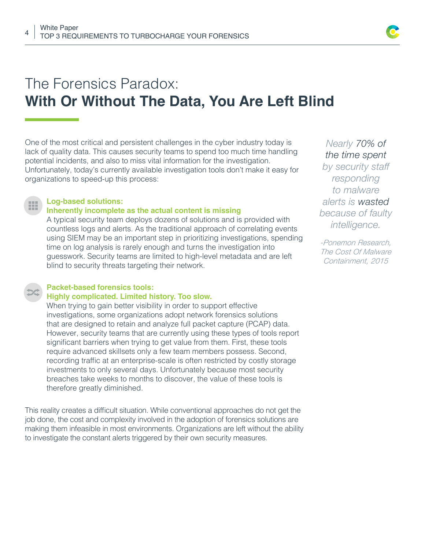

# The Forensics Paradox: **With Or Without The Data, You Are Left Blind**

One of the most critical and persistent challenges in the cyber industry today is lack of quality data. This causes security teams to spend too much time handling potential incidents, and also to miss vital information for the investigation. Unfortunately, today's currently available investigation tools don't make it easy for organizations to speed-up this process:

### **Log-based solutions:**

#### **Inherently incomplete as the actual content is missing**

A typical security team deploys dozens of solutions and is provided with countless logs and alerts. As the traditional approach of correlating events using SIEM may be an important step in prioritizing investigations, spending time on log analysis is rarely enough and turns the investigation into guesswork. Security teams are limited to high-level metadata and are left blind to security threats targeting their network.

#### **Packet-based forensics tools:**

#### **Highly complicated. Limited history. Too slow.**

When trying to gain better visibility in order to support effective investigations, some organizations adopt network forensics solutions that are designed to retain and analyze full packet capture (PCAP) data. However, security teams that are currently using these types of tools report significant barriers when trying to get value from them. First, these tools require advanced skillsets only a few team members possess. Second, recording traffic at an enterprise-scale is often restricted by costly storage investments to only several days. Unfortunately because most security breaches take weeks to months to discover, the value of these tools is therefore greatly diminished.

This reality creates a difficult situation. While conventional approaches do not get the job done, the cost and complexity involved in the adoption of forensics solutions are making them infeasible in most environments. Organizations are left without the ability to investigate the constant alerts triggered by their own security measures.

*Nearly 70% of the time spent by security staff responding to malware alerts is wasted because of faulty intelligence.*

*-Ponemon Research, The Cost Of Malware Containment, 2015*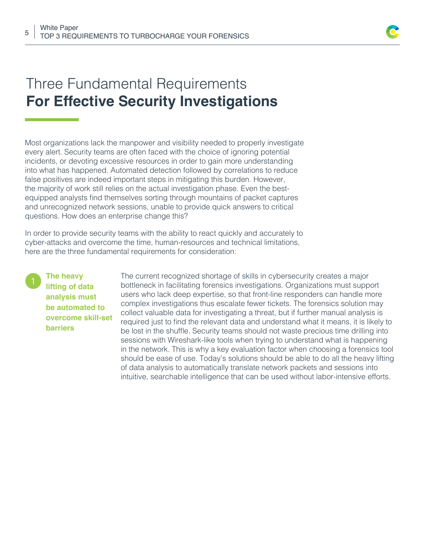

# Three Fundamental Requirements **For Effective Security Investigations**

Most organizations lack the manpower and visibility needed to properly investigate every alert. Security teams are often faced with the choice of ignoring potential incidents, or devoting excessive resources in order to gain more understanding into what has happened. Automated detection followed by correlations to reduce false positives are indeed important steps in mitigating this burden. However, the majority of work still relies on the actual investigation phase. Even the bestequipped analysts find themselves sorting through mountains of packet captures and unrecognized network sessions, unable to provide quick answers to critical questions. How does an enterprise change this?

In order to provide security teams with the ability to react quickly and accurately to cyber-attacks and overcome the time, human-resources and technical limitations, here are the three fundamental requirements for consideration:

**The heavy lifting of data analysis must be automated to overcome skill-set barriers**

The current recognized shortage of skills in cybersecurity creates a major bottleneck in facilitating forensics investigations. Organizations must support users who lack deep expertise, so that front-line responders can handle more complex investigations thus escalate fewer tickets. The forensics solution may collect valuable data for investigating a threat, but if further manual analysis is required just to find the relevant data and understand what it means, it is likely to be lost in the shuffle. Security teams should not waste precious time drilling into sessions with Wireshark-like tools when trying to understand what is happening in the network. This is why a key evaluation factor when choosing a forensics tool should be ease of use. Today's solutions should be able to do all the heavy lifting of data analysis to automatically translate network packets and sessions into intuitive, searchable intelligence that can be used without labor-intensive efforts.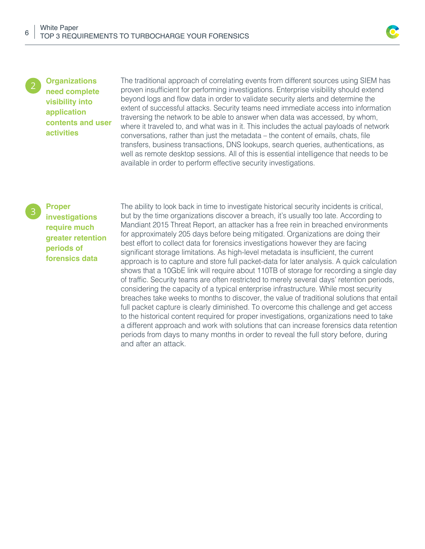

### 2 **Organizations need complete visibility into application contents and user activities**

The traditional approach of correlating events from different sources using SIEM has proven insufficient for performing investigations. Enterprise visibility should extend beyond logs and flow data in order to validate security alerts and determine the extent of successful attacks. Security teams need immediate access into information traversing the network to be able to answer when data was accessed, by whom, where it traveled to, and what was in it. This includes the actual payloads of network conversations, rather than just the metadata – the content of emails, chats, file transfers, business transactions, DNS lookups, search queries, authentications, as well as remote desktop sessions. All of this is essential intelligence that needs to be available in order to perform effective security investigations.

**investigations require much greater retention periods of forensics data**

<sup>3</sup> **Proper** 

The ability to look back in time to investigate historical security incidents is critical, but by the time organizations discover a breach, it's usually too late. According to Mandiant 2015 Threat Report, an attacker has a free rein in breached environments for approximately 205 days before being mitigated. Organizations are doing their best effort to collect data for forensics investigations however they are facing significant storage limitations. As high-level metadata is insufficient, the current approach is to capture and store full packet-data for later analysis. A quick calculation shows that a 10GbE link will require about 110TB of storage for recording a single day of traffic. Security teams are often restricted to merely several days' retention periods, considering the capacity of a typical enterprise infrastructure. While most security breaches take weeks to months to discover, the value of traditional solutions that entail full packet capture is clearly diminished. To overcome this challenge and get access to the historical content required for proper investigations, organizations need to take a different approach and work with solutions that can increase forensics data retention periods from days to many months in order to reveal the full story before, during and after an attack.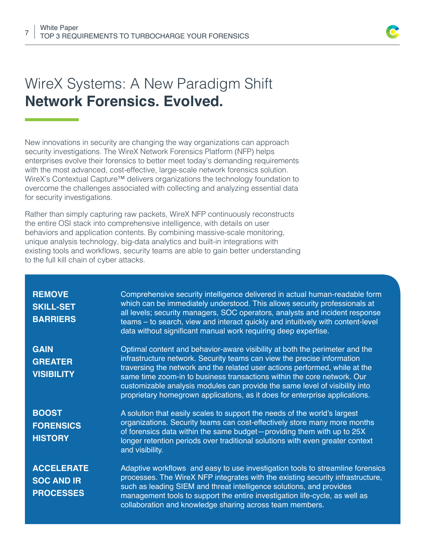

### WireX Systems: A New Paradigm Shift **Network Forensics. Evolved.**

New innovations in security are changing the way organizations can approach security investigations. The WireX Network Forensics Platform (NFP) helps enterprises evolve their forensics to better meet today's demanding requirements with the most advanced, cost-effective, large-scale network forensics solution. WireX's Contextual Capture™ delivers organizations the technology foundation to overcome the challenges associated with collecting and analyzing essential data for security investigations.

Rather than simply capturing raw packets, WireX NFP continuously reconstructs the entire OSI stack into comprehensive intelligence, with details on user behaviors and application contents. By combining massive-scale monitoring, unique analysis technology, big-data analytics and built-in integrations with existing tools and workflows, security teams are able to gain better understanding to the full kill chain of cyber attacks.

| <b>REMOVE</b><br><b>SKILL-SET</b><br><b>BARRIERS</b>       | Comprehensive security intelligence delivered in actual human-readable form<br>which can be immediately understood. This allows security professionals at<br>all levels; security managers, SOC operators, analysts and incident response<br>teams – to search, view and interact quickly and intuitively with content-level<br>data without significant manual work requiring deep expertise.                                                                                 |
|------------------------------------------------------------|--------------------------------------------------------------------------------------------------------------------------------------------------------------------------------------------------------------------------------------------------------------------------------------------------------------------------------------------------------------------------------------------------------------------------------------------------------------------------------|
| <b>GAIN</b><br><b>GREATER</b><br><b>VISIBILITY</b>         | Optimal content and behavior-aware visibility at both the perimeter and the<br>infrastructure network. Security teams can view the precise information<br>traversing the network and the related user actions performed, while at the<br>same time zoom-in to business transactions within the core network. Our<br>customizable analysis modules can provide the same level of visibility into<br>proprietary homegrown applications, as it does for enterprise applications. |
| <b>BOOST</b><br><b>FORENSICS</b><br><b>HISTORY</b>         | A solution that easily scales to support the needs of the world's largest<br>organizations. Security teams can cost-effectively store many more months<br>of forensics data within the same budget-providing them with up to 25X<br>longer retention periods over traditional solutions with even greater context<br>and visibility.                                                                                                                                           |
| <b>ACCELERATE</b><br><b>SOC AND IR</b><br><b>PROCESSES</b> | Adaptive workflows and easy to use investigation tools to streamline forensics<br>processes. The WireX NFP integrates with the existing security infrastructure,<br>such as leading SIEM and threat intelligence solutions, and provides<br>management tools to support the entire investigation life-cycle, as well as<br>collaboration and knowledge sharing across team members.                                                                                            |